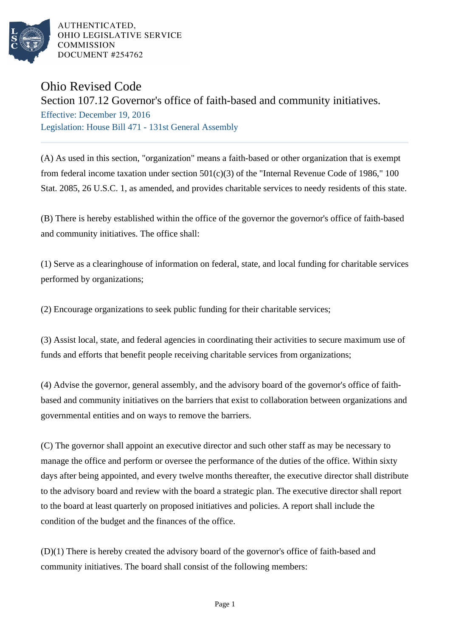

AUTHENTICATED. OHIO LEGISLATIVE SERVICE **COMMISSION** DOCUMENT #254762

## Ohio Revised Code

## Section 107.12 Governor's office of faith-based and community initiatives.

Effective: December 19, 2016 Legislation: House Bill 471 - 131st General Assembly

(A) As used in this section, "organization" means a faith-based or other organization that is exempt from federal income taxation under section 501(c)(3) of the "Internal Revenue Code of 1986," 100 Stat. 2085, 26 U.S.C. 1, as amended, and provides charitable services to needy residents of this state.

(B) There is hereby established within the office of the governor the governor's office of faith-based and community initiatives. The office shall:

(1) Serve as a clearinghouse of information on federal, state, and local funding for charitable services performed by organizations;

(2) Encourage organizations to seek public funding for their charitable services;

(3) Assist local, state, and federal agencies in coordinating their activities to secure maximum use of funds and efforts that benefit people receiving charitable services from organizations;

(4) Advise the governor, general assembly, and the advisory board of the governor's office of faithbased and community initiatives on the barriers that exist to collaboration between organizations and governmental entities and on ways to remove the barriers.

(C) The governor shall appoint an executive director and such other staff as may be necessary to manage the office and perform or oversee the performance of the duties of the office. Within sixty days after being appointed, and every twelve months thereafter, the executive director shall distribute to the advisory board and review with the board a strategic plan. The executive director shall report to the board at least quarterly on proposed initiatives and policies. A report shall include the condition of the budget and the finances of the office.

(D)(1) There is hereby created the advisory board of the governor's office of faith-based and community initiatives. The board shall consist of the following members: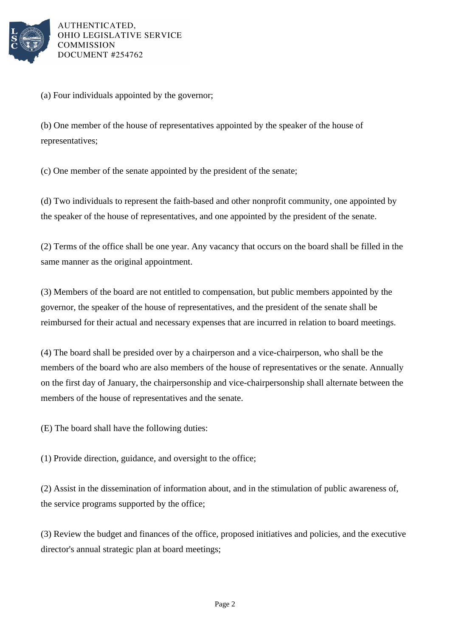

AUTHENTICATED. OHIO LEGISLATIVE SERVICE **COMMISSION** DOCUMENT #254762

(a) Four individuals appointed by the governor;

(b) One member of the house of representatives appointed by the speaker of the house of representatives;

(c) One member of the senate appointed by the president of the senate;

(d) Two individuals to represent the faith-based and other nonprofit community, one appointed by the speaker of the house of representatives, and one appointed by the president of the senate.

(2) Terms of the office shall be one year. Any vacancy that occurs on the board shall be filled in the same manner as the original appointment.

(3) Members of the board are not entitled to compensation, but public members appointed by the governor, the speaker of the house of representatives, and the president of the senate shall be reimbursed for their actual and necessary expenses that are incurred in relation to board meetings.

(4) The board shall be presided over by a chairperson and a vice-chairperson, who shall be the members of the board who are also members of the house of representatives or the senate. Annually on the first day of January, the chairpersonship and vice-chairpersonship shall alternate between the members of the house of representatives and the senate.

(E) The board shall have the following duties:

(1) Provide direction, guidance, and oversight to the office;

(2) Assist in the dissemination of information about, and in the stimulation of public awareness of, the service programs supported by the office;

(3) Review the budget and finances of the office, proposed initiatives and policies, and the executive director's annual strategic plan at board meetings;